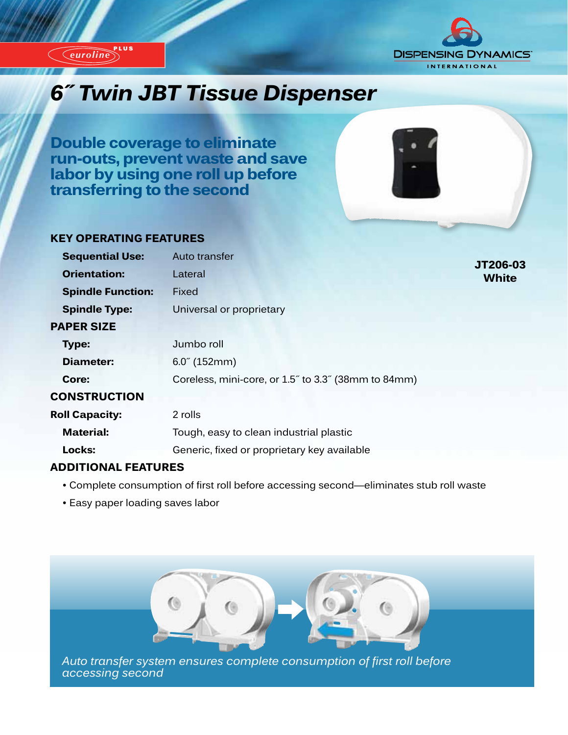

*euroline*



**JT206-03 White**

# *6˝ Twin JBT Tissue Dispenser*

**Double coverage to eliminate run-outs, prevent waste and save labor by using one roll up before transferring to the second**



#### **KEY OPERATING FEATURES**

| <b>Sequential Use:</b>   | Auto transfer                                       |
|--------------------------|-----------------------------------------------------|
| <b>Orientation:</b>      | Lateral                                             |
| <b>Spindle Function:</b> | Fixed                                               |
| <b>Spindle Type:</b>     | Universal or proprietary                            |
| <b>PAPER SIZE</b>        |                                                     |
| Type:                    | Jumbo roll                                          |
| Diameter:                | $6.0^{\circ}$ (152mm)                               |
| Core:                    | Coreless, mini-core, or 1.5" to 3.3" (38mm to 84mm) |
| <b>CONSTRUCTION</b>      |                                                     |
| <b>Roll Capacity:</b>    | 2 rolls                                             |
| <b>Material:</b>         | Tough, easy to clean industrial plastic             |
| Locks:                   | Generic, fixed or proprietary key available         |

#### **ADDITIONAL FEATURES**

- Complete consumption of first roll before accessing second—eliminates stub roll waste
- Easy paper loading saves labor